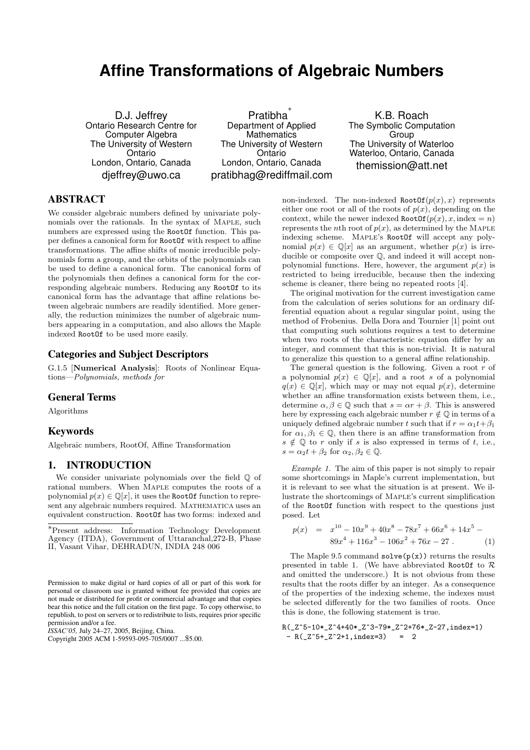# **Affine Transformations of Algebraic Numbers**

D.J. Jeffrey Ontario Research Centre for Computer Algebra The University of Western **Ontario** London, Ontario, Canada djeffrey@uwo.ca

Pratibha ∗ Department of Applied **Mathematics** The University of Western **Ontario** London, Ontario, Canada pratibhag@rediffmail.com

K.B. Roach The Symbolic Computation **Group** The University of Waterloo Waterloo, Ontario, Canada themission@att.net

## ABSTRACT

We consider algebraic numbers defined by univariate polynomials over the rationals. In the syntax of Maple, such numbers are expressed using the RootOf function. This paper defines a canonical form for RootOf with respect to affine transformations. The affine shifts of monic irreducible polynomials form a group, and the orbits of the polynomials can be used to define a canonical form. The canonical form of the polynomials then defines a canonical form for the corresponding algebraic numbers. Reducing any RootOf to its canonical form has the advantage that affine relations between algebraic numbers are readily identified. More generally, the reduction minimizes the number of algebraic numbers appearing in a computation, and also allows the Maple indexed RootOf to be used more easily.

## Categories and Subject Descriptors

G.1.5 [Numerical Analysis]: Roots of Nonlinear Equations—Polynomials, methods for

#### General Terms

Algorithms

#### Keywords

Algebraic numbers, RootOf, Affine Transformation

## 1. INTRODUCTION

We consider univariate polynomials over the field  $\mathbb O$  of rational numbers. When Maple computes the roots of a polynomial  $p(x) \in \mathbb{Q}[x]$ , it uses the RootOf function to represent any algebraic numbers required. MATHEMATICA uses an equivalent construction. RootOf has two forms: indexed and

*ISSAC'05,* July 24–27, 2005, Beijing, China.

Copyright 2005 ACM 1-59593-095-705/0007 ...\$5.00.

non-indexed. The non-indexed  $RootOf(p(x), x)$  represents either one root or all of the roots of  $p(x)$ , depending on the context, while the newer indexed  $\text{RootOf}(p(x), x, \text{index} = n)$ represents the *n*th root of  $p(x)$ , as determined by the MAPLE indexing scheme. Maple's RootOf will accept any polynomial  $p(x) \in \mathbb{Q}[x]$  as an argument, whether  $p(x)$  is irreducible or composite over Q, and indeed it will accept nonpolynomial functions. Here, however, the argument  $p(x)$  is restricted to being irreducible, because then the indexing scheme is cleaner, there being no repeated roots [4].

The original motivation for the current investigation came from the calculation of series solutions for an ordinary differential equation about a regular singular point, using the method of Frobenius. Della Dora and Tournier [1] point out that computing such solutions requires a test to determine when two roots of the characteristic equation differ by an integer, and comment that this is non-trivial. It is natural to generalize this question to a general affine relationship.

The general question is the following. Given a root  $r$  of a polynomial  $p(x) \in \mathbb{Q}[x]$ , and a root s of a polynomial  $q(x) \in \mathbb{Q}[x]$ , which may or may not equal  $p(x)$ , determine whether an affine transformation exists between them, i.e., determine  $\alpha, \beta \in \mathbb{Q}$  such that  $s = \alpha r + \beta$ . This is answered here by expressing each algebraic number  $r \notin \mathbb{Q}$  in terms of a uniquely defined algebraic number t such that if  $r = \alpha_1 t + \beta_1$ for  $\alpha_1, \beta_1 \in \mathbb{Q}$ , then there is an affine transformation from  $s \notin \mathbb{Q}$  to r only if s is also expressed in terms of t, i.e.,  $s = \alpha_2 t + \beta_2$  for  $\alpha_2, \beta_2 \in \mathbb{Q}$ .

Example 1. The aim of this paper is not simply to repair some shortcomings in Maple's current implementation, but it is relevant to see what the situation is at present. We illustrate the shortcomings of Maple's current simplification of the RootOf function with respect to the questions just posed. Let

$$
p(x) = x^{10} - 10x^9 + 40x^8 - 78x^7 + 66x^6 + 14x^5 - 89x^4 + 116x^3 - 106x^2 + 76x - 27
$$
 (1)

The Maple 9.5 command  $solve(p(x))$  returns the results presented in table 1. (We have abbreviated RootOf to  $\mathcal R$ and omitted the underscore.) It is not obvious from these results that the roots differ by an integer. As a consequence of the properties of the indexing scheme, the indexes must be selected differently for the two families of roots. Once this is done, the following statement is true.

<sup>∗</sup>Present address: Information Technology Development Agency (ITDA), Government of Uttaranchal,272-B, Phase II, Vasant Vihar, DEHRADUN, INDIA 248 006

Permission to make digital or hard copies of all or part of this work for personal or classroom use is granted without fee provided that copies are not made or distributed for profit or commercial advantage and that copies bear this notice and the full citation on the first page. To copy otherwise, to republish, to post on servers or to redistribute to lists, requires prior specific permission and/or a fee.

R(\_Z^5-10\*\_Z^4+40\*\_Z^3-79\*\_Z^2+76\*\_Z-27,index=1)  $-R(\_Z^5 + \_Z^2 + 1,index=3) = 2$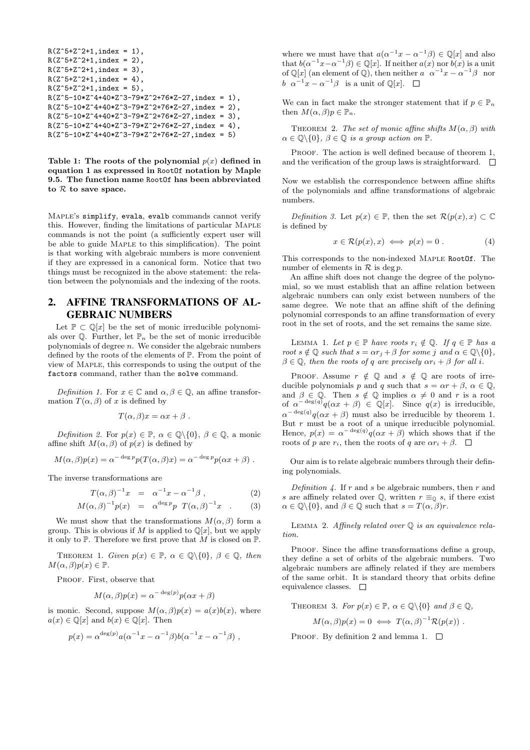```
R(Z^{\texttt{-}5+Z^{\texttt{-}2+1}},index = 1),
R(Z^{\sim}5+Z^{\sim}2+1,index = 2).
R(Z^5+Z^2+1, \text{index} = 3),
R(Z^*5+Z^*2+1,index = 4),
R(Z^5+Z^2+1,index = 5),
R(Z^5-10*Z^4+40*Z^3-79*Z^2+76*Z-27,index = 1),R(Z^5-10*Z^4+40*Z^3-79*Z^2+76*Z-27,index = 2),R(Z^5-10*Z^4+40*Z^3-79*Z^2+76*Z-27,index = 3),R(Z^5-10*Z^4+40*Z^3-79*Z^2+76*Z-27,index = 4),R(Z^5-10*Z^4+40*Z^3-79*Z^2+76*Z-27,index = 5)
```
Table 1: The roots of the polynomial  $p(x)$  defined in equation 1 as expressed in RootOf notation by Maple 9.5. The function name RootOf has been abbreviated to  $R$  to save space.

Maple's simplify, evala, evalb commands cannot verify this. However, finding the limitations of particular Maple commands is not the point (a sufficiently expert user will be able to guide MAPLE to this simplification). The point is that working with algebraic numbers is more convenient if they are expressed in a canonical form. Notice that two things must be recognized in the above statement: the relation between the polynomials and the indexing of the roots.

## 2. AFFINE TRANSFORMATIONS OF AL-GEBRAIC NUMBERS

Let  $\mathbb{P} \subset \mathbb{Q}[x]$  be the set of monic irreducible polynomials over  $\mathbb{Q}$ . Further, let  $\mathbb{P}_n$  be the set of monic irreducible polynomials of degree  $n$ . We consider the algebraic numbers defined by the roots of the elements of P. From the point of view of Maple, this corresponds to using the output of the factors command, rather than the solve command.

Definition 1. For  $x \in \mathbb{C}$  and  $\alpha, \beta \in \mathbb{Q}$ , an affine transformation  $T(\alpha, \beta)$  of x is defined by

$$
T(\alpha, \beta)x = \alpha x + \beta.
$$

Definition 2. For  $p(x) \in \mathbb{P}$ ,  $\alpha \in \mathbb{Q} \setminus \{0\}$ ,  $\beta \in \mathbb{Q}$ , a monic affine shift  $M(\alpha, \beta)$  of  $p(x)$  is defined by

$$
M(\alpha, \beta)p(x) = \alpha^{-\deg p} p(T(\alpha, \beta)x) = \alpha^{-\deg p} p(\alpha x + \beta) .
$$

The inverse transformations are

$$
T(\alpha, \beta)^{-1}x = \alpha^{-1}x - \alpha^{-1}\beta , \qquad (2)
$$

$$
M(\alpha, \beta)^{-1} p(x) = \alpha^{\deg p} p T(\alpha, \beta)^{-1} x . \qquad (3)
$$

We must show that the transformations  $M(\alpha, \beta)$  form a group. This is obvious if M is applied to  $\mathbb{Q}[x]$ , but we apply it only to  $\mathbb P$ . Therefore we first prove that M is closed on  $\mathbb P$ .

THEOREM 1. Given  $p(x) \in \mathbb{P}$ ,  $\alpha \in \mathbb{Q} \setminus \{0\}$ ,  $\beta \in \mathbb{Q}$ , then  $M(\alpha, \beta)p(x) \in \mathbb{P}$ .

PROOF. First, observe that

$$
M(\alpha, \beta)p(x) = \alpha^{-\deg(p)}p(\alpha x + \beta)
$$

is monic. Second, suppose  $M(\alpha, \beta)p(x) = a(x)b(x)$ , where  $a(x) \in \mathbb{O}[x]$  and  $b(x) \in \mathbb{O}[x]$ . Then

$$
p(x) = \alpha^{\deg(p)} a(\alpha^{-1}x - \alpha^{-1}\beta)b(\alpha^{-1}x - \alpha^{-1}\beta) ,
$$

where we must have that  $a(\alpha^{-1}x - \alpha^{-1}\beta) \in \mathbb{Q}[x]$  and also that  $b(\alpha^{-1}x-\alpha^{-1}\beta) \in \mathbb{Q}[x]$ . If neither  $a(x)$  nor  $b(x)$  is a unit of  $\mathbb{Q}[x]$  (an element of  $\mathbb{Q}$ ), then neither  $a \ \alpha^{-1}x - \alpha^{-1}\beta$  nor b  $\alpha^{-1}x - \alpha^{-1}\beta$  is a unit of  $\mathbb{Q}[x]$ .

We can in fact make the stronger statement that if  $p \in \mathbb{P}_n$ then  $M(\alpha, \beta)p \in \mathbb{P}_n$ .

THEOREM 2. The set of monic affine shifts  $M(\alpha, \beta)$  with  $\alpha \in \mathbb{Q} \backslash \{0\}, \ \beta \in \mathbb{Q}$  is a group action on  $\mathbb{P}.$ 

PROOF. The action is well defined because of theorem 1. and the verification of the group laws is straightforward.  $\square$ 

Now we establish the correspondence between affine shifts of the polynomials and affine transformations of algebraic numbers.

Definition 3. Let  $p(x) \in \mathbb{P}$ , then the set  $\mathcal{R}(p(x), x) \subset \mathbb{C}$ is defined by

$$
x \in \mathcal{R}(p(x), x) \iff p(x) = 0.
$$
 (4)

This corresponds to the non-indexed Maple RootOf. The number of elements in  $R$  is deg  $p$ .

An affine shift does not change the degree of the polynomial, so we must establish that an affine relation between algebraic numbers can only exist between numbers of the same degree. We note that an affine shift of the defining polynomial corresponds to an affine transformation of every root in the set of roots, and the set remains the same size.

LEMMA 1. Let  $p \in \mathbb{P}$  have roots  $r_i \notin \mathbb{Q}$ . If  $q \in \mathbb{P}$  has a root  $s \notin \mathbb{Q}$  such that  $s = \alpha r_j + \beta$  for some j and  $\alpha \in \mathbb{Q} \setminus \{0\},$  $\beta \in \mathbb{Q}$ , then the roots of q are precisely  $\alpha r_i + \beta$  for all i.

PROOF. Assume  $r \notin \mathbb{Q}$  and  $s \notin \mathbb{Q}$  are roots of irreducible polynomials p and q such that  $s = \alpha r + \beta$ ,  $\alpha \in \mathbb{Q}$ , and  $\beta \in \mathbb{Q}$ . Then  $s \notin \mathbb{Q}$  implies  $\alpha \neq 0$  and r is a root of  $\alpha^{-\deg(q)}q(\alpha x + \beta) \in \mathbb{Q}[x]$ . Since  $q(x)$  is irreducible,  $\alpha^{-\deg(q)}q(\alpha x+\beta)$  must also be irreducible by theorem 1. But  $r$  must be a root of a unique irreducible polynomial. Hence,  $p(x) = \alpha^{-\deg(q)} q(\alpha x + \beta)$  which shows that if the roots of p are  $r_i$ , then the roots of q are  $\alpha r_i + \beta$ .  $\Box$ 

Our aim is to relate algebraic numbers through their defining polynomials.

Definition 4. If r and s be algebraic numbers, then r and s are affinely related over  $\mathbb{Q}$ , written  $r \equiv_0 s$ , if there exist  $\alpha \in \mathbb{Q} \backslash \{0\}$ , and  $\beta \in \mathbb{Q}$  such that  $s = T(\alpha, \beta)r$ .

LEMMA 2. Affinely related over  $\mathbb Q$  is an equivalence relation.

PROOF. Since the affine transformations define a group, they define a set of orbits of the algebraic numbers. Two algebraic numbers are affinely related if they are members of the same orbit. It is standard theory that orbits define equivalence classes.  $\square$ 

THEOREM 3. For  $p(x) \in \mathbb{P}$ ,  $\alpha \in \mathbb{Q} \setminus \{0\}$  and  $\beta \in \mathbb{Q}$ ,

 $M(\alpha, \beta)p(x) = 0 \iff T(\alpha, \beta)^{-1} \mathcal{R}(p(x))$ .

PROOF. By definition 2 and lemma 1.  $\square$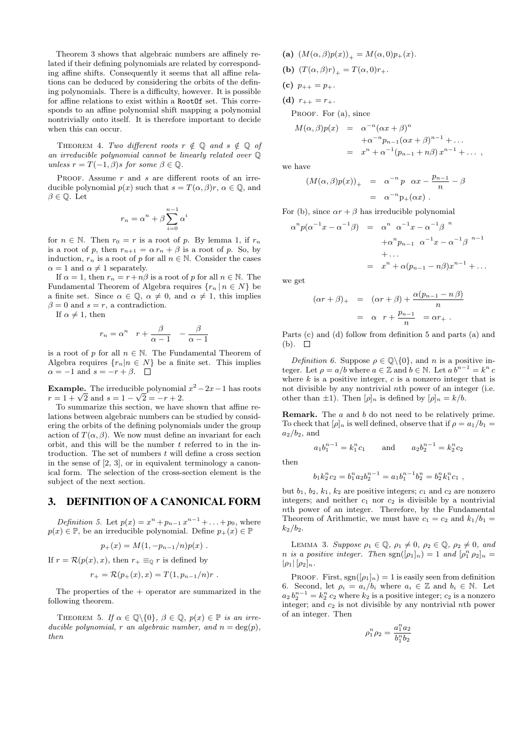Theorem 3 shows that algebraic numbers are affinely related if their defining polynomials are related by corresponding affine shifts. Consequently it seems that all affine relations can be deduced by considering the orbits of the defining polynomials. There is a difficulty, however. It is possible for affine relations to exist within a RootOf set. This corresponds to an affine polynomial shift mapping a polynomial nontrivially onto itself. It is therefore important to decide when this can occur.

THEOREM 4. Two different roots  $r \notin \mathbb{Q}$  and  $s \notin \mathbb{Q}$  of an irreducible polynomial cannot be linearly related over Q unless  $r = T(-1, \beta)s$  for some  $\beta \in \mathbb{Q}$ .

PROOF. Assume  $r$  and  $s$  are different roots of an irreducible polynomial  $p(x)$  such that  $s = T(\alpha, \beta)r$ ,  $\alpha \in \mathbb{Q}$ , and  $\beta \in \mathbb{Q}$ . Let

$$
r_n = \alpha^n + \beta \sum_{i=0}^{n-1} \alpha^i
$$

for  $n \in \mathbb{N}$ . Then  $r_0 = r$  is a root of p. By lemma 1, if  $r_n$ is a root of p, then  $r_{n+1} = \alpha r_n + \beta$  is a root of p. So, by induction,  $r_n$  is a root of p for all  $n \in \mathbb{N}$ . Consider the cases  $\alpha = 1$  and  $\alpha \neq 1$  separately.

If  $\alpha = 1$ , then  $r_n = r + n\beta$  is a root of p for all  $n \in \mathbb{N}$ . The Fundamental Theorem of Algebra requires  $\{r_n | n \in N\}$  be a finite set. Since  $\alpha \in \mathbb{Q}$ ,  $\alpha \neq 0$ , and  $\alpha \neq 1$ , this implies  $\beta = 0$  and  $s = r$ , a contradiction.

If  $\alpha \neq 1$ , then

$$
r_n = \alpha^n \quad r + \frac{\beta}{\alpha - 1} \quad -\frac{\beta}{\alpha - 1}
$$

is a root of p for all  $n \in \mathbb{N}$ . The Fundamental Theorem of Algebra requires  $\{r_n | n \in N\}$  be a finite set. This implies  $\alpha = -1$  and  $s = -r + \beta$ .  $\Box$ 

**Example.** The irreducible polynomial  $x^2 - 2x - 1$  has roots **Example.** The irreducible polynomia<br> $r = 1 + \sqrt{2}$  and  $s = 1 - \sqrt{2} = -r + 2$ .

To summarize this section, we have shown that affine relations between algebraic numbers can be studied by considering the orbits of the defining polynomials under the group action of  $T(\alpha, \beta)$ . We now must define an invariant for each orbit, and this will be the number  $t$  referred to in the introduction. The set of numbers  $t$  will define a cross section in the sense of [2, 3], or in equivalent terminology a canonical form. The selection of the cross-section element is the subject of the next section.

## 3. DEFINITION OF A CANONICAL FORM

Definition 5. Let  $p(x) = x^{n} + p_{n-1}x^{n-1} + ... + p_0$ , where  $p(x) \in \mathbb{P}$ , be an irreducible polynomial. Define  $p_+(x) \in \mathbb{P}$ 

 $p_{+}(x) = M(1, -p_{n-1}/n)p(x)$ .

If 
$$
r = \mathcal{R}(p(x), x)
$$
, then  $r_+ \equiv_{\mathbb{Q}} r$  is defined by

$$
r_{+} = \mathcal{R}(p_{+}(x), x) = T(1, p_{n-1}/n)r.
$$

The properties of the  $+$  operator are summarized in the following theorem.

THEOREM 5. If  $\alpha \in \mathbb{Q} \setminus \{0\}$ ,  $\beta \in \mathbb{Q}$ ,  $p(x) \in \mathbb{P}$  is an irreducible polynomial, r an algebraic number, and  $n = \deg(p)$ , then

(a)  $(M(\alpha, \beta)p(x))_{+} = M(\alpha, 0)p_{+}(x)$ .

**(b)** 
$$
(T(\alpha, \beta)r)_{+} = T(\alpha, 0)r_{+}.
$$

(c)  $p_{++} = p_+$ .

(d)  $r_{++} = r_{+}.$ 

PROOF. For  $(a)$ , since

$$
M(\alpha, \beta)p(x) = \alpha^{-n}(\alpha x + \beta)^n + \alpha^{-n}p_{n-1}(\alpha x + \beta)^{n-1} + \dots = x^n + \alpha^{-1}(p_{n-1} + n\beta)x^{n-1} + \dots ,
$$

we have

$$
(M(\alpha,\beta)p(x))_{+} = \alpha^{-n} p \alpha x - \frac{p_{n-1}}{n} - \beta
$$
  
=  $\alpha^{-n} p_{+}(\alpha x)$ .

For (b), since  $\alpha r + \beta$  has irreducible polynomial

$$
\alpha^{n} p(\alpha^{-1} x - \alpha^{-1} \beta) = \alpha^{n} \alpha^{-1} x - \alpha^{-1} \beta^{n}
$$
  
+ 
$$
\alpha^{n} p_{n-1} \alpha^{-1} x - \alpha^{-1} \beta^{n-1}
$$
  
+ ...  
= 
$$
x^{n} + \alpha (p_{n-1} - n \beta) x^{n-1} + ...
$$

we get

$$
(\alpha r + \beta)_{+} = (\alpha r + \beta) + \frac{\alpha (p_{n-1} - n \beta)}{n}
$$

$$
= \alpha r + \frac{p_{n-1}}{n} = \alpha r_{+}.
$$

Parts (c) and (d) follow from definition 5 and parts (a) and  $(b). \square$ 

Definition 6. Suppose  $\rho \in \mathbb{Q} \setminus \{0\}$ , and n is a positive integer. Let  $\rho = a/b$  where  $a \in \mathbb{Z}$  and  $b \in \mathbb{N}$ . Let  $ab^{n-1} = k^n c$ where  $k$  is a positive integer,  $c$  is a nonzero integer that is not divisible by any nontrivial nth power of an integer (i.e. other than  $\pm 1$ ). Then  $[\rho]_n$  is defined by  $[\rho]_n = k/b$ .

**Remark.** The a and b do not need to be relatively prime. To check that  $[\rho]_n$  is well defined, observe that if  $\rho = a_1/b_1 =$  $a_2/b_2$ , and

$$
a_1b_1^{n-1} = k_1^n c_1
$$
 and  $a_2b_2^{n-1} = k_2^n c_2$ 

then

$$
b_1k_2^n c_2 = b_1^n a_2 b_2^{n-1} = a_1 b_1^{n-1} b_2^n = b_2^n k_1^n c_1,
$$

but  $b_1$ ,  $b_2$ ,  $k_1$ ,  $k_2$  are positive integers;  $c_1$  and  $c_2$  are nonzero integers; and neither  $c_1$  nor  $c_2$  is divisible by a nontrivial nth power of an integer. Therefore, by the Fundamental Theorem of Arithmetic, we must have  $c_1 = c_2$  and  $k_1/b_1 =$  $k_2/b_2$ .

LEMMA 3. Suppose  $\rho_1 \in \mathbb{Q}$ ,  $\rho_1 \neq 0$ ,  $\rho_2 \in \mathbb{Q}$ ,  $\rho_2 \neq 0$ , and *n* is a positive integer. Then  $sgn([\rho_1]_n) = 1$  and  $[\rho_1^n \rho_2]_n =$  $|\rho_1|$   $|\rho_2|_n$ .

PROOF. First,  $sgn((\rho_1)_n) = 1$  is easily seen from definition 6. Second, let  $\rho_i = a_i/b_i$  where  $a_i \in \mathbb{Z}$  and  $b_i \in \mathbb{N}$ . Let  $a_2 b_2^{n-1} = k_2^n c_2$  where  $k_2$  is a positive integer;  $c_2$  is a nonzero integer; and  $c_2$  is not divisible by any nontrivial nth power of an integer. Then

$$
\rho_1^n \rho_2 = \frac{a_1^n a_2}{b_1^n b_2}
$$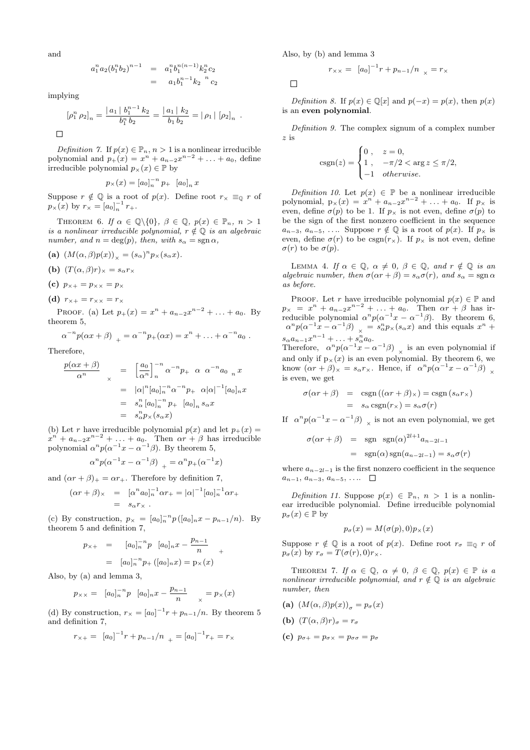and

$$
a_1^n a_2 (b_1^n b_2)^{n-1} = a_1^n b_1^{n(n-1)} k_2^n c_2
$$
  
=  $a_1 b_1^{n-1} k_2^{-n} c_2$ 

implying

$$
[\rho_1^n \rho_2]_n = \frac{|a_1| b_1^{n-1} k_2}{b_1^n b_2} = \frac{|a_1| k_2}{b_1 b_2} = |\rho_1| [\rho_2]_n.
$$

Definition 7. If  $p(x) \in \mathbb{P}_n$ ,  $n > 1$  is a nonlinear irreducible polynomial and  $p_{+}(x) = x^{n} + a_{n-2}x^{n-2} + ... + a_0$ , define irreducible polynomial  $p_{\times}(x) \in \mathbb{P}$  by

$$
p_{\times}(x) = [a_0]_n^{-n} p_+ [a_0]_n x
$$

Suppose  $r \notin \mathbb{Q}$  is a root of  $p(x)$ . Define root  $r_{\times} \equiv_0 r$  of  $p_{\times}(x)$  by  $r_{\times} = [a_0]_n^{-1} r_{+}.$ 

THEOREM 6. If  $\alpha \in \mathbb{Q} \setminus \{0\}$ ,  $\beta \in \mathbb{Q}$ ,  $p(x) \in \mathbb{P}_n$ ,  $n > 1$ is a nonlinear irreducible polynomial,  $r \notin \mathbb{Q}$  is an algebraic number, and  $n = \deg(p)$ , then, with  $s_{\alpha} = \text{sgn } \alpha$ ,

- (a)  $(M(\alpha, \beta)p(x))_{\times} = (s_{\alpha})^n p_{\times}(s_{\alpha}x).$
- (b)  $(T(\alpha, \beta)r)_\times = s_\alpha r_\times$
- (c)  $p_{\times +} = p_{\times} = p_{\times}$
- (d)  $r_{\times+} = r_{\times} = r_{\times}$

PROOF. (a) Let  $p_+(x) = x^n + a_{n-2}x^{n-2} + \ldots + a_0$ . By theorem 5,

$$
\alpha^{-n} p(\alpha x + \beta)_{+} = \alpha^{-n} p_{+}(\alpha x) = x^{n} + \ldots + \alpha^{-n} a_{0}.
$$

Therefore,

$$
\frac{p(\alpha x + \beta)}{\alpha^n} \times = \left[\frac{a_0}{\alpha^n}\right]_n^{-n} \alpha^{-n} p_+ \alpha \alpha^{-n} a_0 n x
$$
  
\n
$$
= |\alpha|^n [a_0]_n^{-n} \alpha^{-n} p_+ \alpha |\alpha|^{-1} [a_0]_n x
$$
  
\n
$$
= s_\alpha^n [a_0]_n^{-n} p_+ [a_0]_n s_\alpha x
$$
  
\n
$$
= s_\alpha^n p_\times (s_\alpha x)
$$

(b) Let r have irreducible polynomial  $p(x)$  and let  $p_+(x) =$  $x^{n} + a_{n-2}x^{n-2} + \ldots + a_0$ . Then  $\alpha r + \beta$  has irreducible polynomial  $\alpha^{n} p(\alpha^{-1} x - \alpha^{-1} \beta)$ . By theorem 5,

$$
\alpha^n p(\alpha^{-1}x - \alpha^{-1}\beta) \big|_{+} = \alpha^n p_{+}(\alpha^{-1}x)
$$

and  $(\alpha r + \beta)_{+} = \alpha r_{+}$ . Therefore by definition 7,

$$
(\alpha r + \beta)_{\times} = [\alpha^{n} a_{0}]_{n}^{-1} \alpha r_{+} = |\alpha|^{-1} [a_{0}]_{n}^{-1} \alpha r_{+}
$$
  
=  $s_{\alpha} r_{\times}$ .

(c) By construction,  $p_{\times} = [a_0]_n^{-n} p ([a_0]_n x - p_{n-1}/n)$ . By theorem 5 and definition 7,

$$
p_{\times +} = [a_0]_n^{-n} p [a_0]_n x - \frac{p_{n-1}}{n}
$$
  
=  $[a_0]_n^{-n} p_+ ([a_0]_n x) = p_\times(x)$ 

Also, by (a) and lemma 3,

$$
p_{\times \times} = [a_0]_n^{-n} p [a_0]_n x - \frac{p_{n-1}}{n} \quad \underset{\times}{=} p_{\times}(x)
$$

(d) By construction,  $r_{\times} = [a_0]^{-1}r + p_{n-1}/n$ . By theorem 5 and definition 7,

$$
r_{\times +} = [a_0]^{-1}r + p_{n-1}/n_{+} = [a_0]^{-1}r_{+} = r_{\times}
$$

Also, by (b) and lemma 3

 $\Box$ 

$$
r_{\times\times} = [a_0]^{-1}r + p_{n-1}/n_{\times} = r_{\times}
$$

Definition 8. If  $p(x) \in \mathbb{Q}[x]$  and  $p(-x) = p(x)$ , then  $p(x)$ is an even polynomial.

Definition 9. The complex signum of a complex number z is  $\overline{a}$ 

$$
csgn(z) = \begin{cases} 0, & z = 0, \\ 1, & -\pi/2 < \arg z \le \pi/2, \\ -1 & otherwise. \end{cases}
$$

Definition 10. Let  $p(x) \in \mathbb{P}$  be a nonlinear irreducible polynomial,  $p_{\times}(x) = x^{n} + a_{n-2}x^{n-2} + ... + a_0$ . If  $p_{\times}$  is even, define  $\sigma(p)$  to be 1. If  $p_{\times}$  is not even, define  $\sigma(p)$  to be the sign of the first nonzero coefficient in the sequence  $a_{n-3}, a_{n-5}, \ldots$  Suppose  $r \notin \mathbb{Q}$  is a root of  $p(x)$ . If  $p_{\times}$  is even, define  $\sigma(r)$  to be  $csgn(r_{\times})$ . If  $p_{\times}$  is not even, define  $\sigma(r)$  to be  $\sigma(p)$ .

LEMMA 4. If  $\alpha \in \mathbb{Q}$ ,  $\alpha \neq 0$ ,  $\beta \in \mathbb{Q}$ , and  $r \notin \mathbb{Q}$  is an algebraic number, then  $\sigma(\alpha r + \beta) = s_{\alpha}\sigma(r)$ , and  $s_{\alpha} = \text{sgn }\alpha$ as before.

PROOF. Let r have irreducible polynomial  $p(x) \in \mathbb{P}$  and  $p_{\times} = x^n + a_{n-2}x^{n-2} + \ldots + a_0$ . Then  $\alpha r + \beta$  has irreducible polynomial  $\alpha^n p(\alpha^{-1}x - \alpha^{-1}\beta)$ . By theorem 6,  $\alpha^n p(\alpha^{-1}x - \alpha^{-1}\beta)$   $_{\times} = s^n_{\alpha}p_{\times}(s_{\alpha}x)$  and this equals  $x^n$  +  $s_{\alpha} a_{n-1} x^{n-1} + \ldots + s_{\alpha}^n a_0.$ 

Therefore,  $\alpha^{n} p(\alpha^{-1} x - \alpha^{-1} \beta)$  is an even polynomial if and only if  $p_{\times}(x)$  is an even polynomial. By theorem 6, we know  $(\alpha r + \beta)_\times = s_\alpha r_\times$ . Hence, if  $\alpha^n p(\alpha^{-1}x - \alpha^{-1}\beta)$   $_\times$ is even, we get

$$
\sigma(\alpha r + \beta) = \text{csgn}((\alpha r + \beta)_{\times}) = \text{csgn}(s_{\alpha}r_{\times})
$$

$$
= s_{\alpha} \text{csgn}(r_{\times}) = s_{\alpha}\sigma(r)
$$

If  $\alpha^n p(\alpha^{-1}x - \alpha^{-1}\beta)$   $\underset{\times}{\times}$  is not an even polynomial, we get

$$
\sigma(\alpha r + \beta) = \text{sgn} \, \text{sgn}(\alpha)^{2l+1} a_{n-2l-1}
$$

$$
= \text{sgn}(\alpha) \, \text{sgn}(a_{n-2l-1}) = s_{\alpha} \sigma(r)
$$

where  $a_{n-2l-1}$  is the first nonzero coefficient in the sequence  $a_{n-1}, a_{n-3}, a_{n-5}, \ldots$ 

Definition 11. Suppose  $p(x) \in \mathbb{P}_n$ ,  $n > 1$  is a nonlinear irreducible polynomial. Define irreducible polynomial  $p_{\sigma}(x) \in \mathbb{P}$  by

$$
p_{\sigma}(x) = M(\sigma(p), 0)p_{\times}(x)
$$

Suppose  $r \notin \mathbb{Q}$  is a root of  $p(x)$ . Define root  $r_{\sigma} \equiv_{\mathbb{Q}} r$  of  $p_{\sigma}(x)$  by  $r_{\sigma} = T(\sigma(r), 0)r_{\times}$ .

THEOREM 7. If  $\alpha \in \mathbb{Q}$ ,  $\alpha \neq 0$ ,  $\beta \in \mathbb{Q}$ ,  $p(x) \in \mathbb{P}$  is a nonlinear irreducible polynomial, and  $r \notin \mathbb{Q}$  is an algebraic number, then

- (a)  $(M(\alpha, \beta)p(x))_{\sigma} = p_{\sigma}(x)$
- (b)  $(T(\alpha, \beta)r)_{\sigma} = r_{\sigma}$
- (c)  $p_{\sigma+} = p_{\sigma \times} = p_{\sigma \sigma} = p_{\sigma}$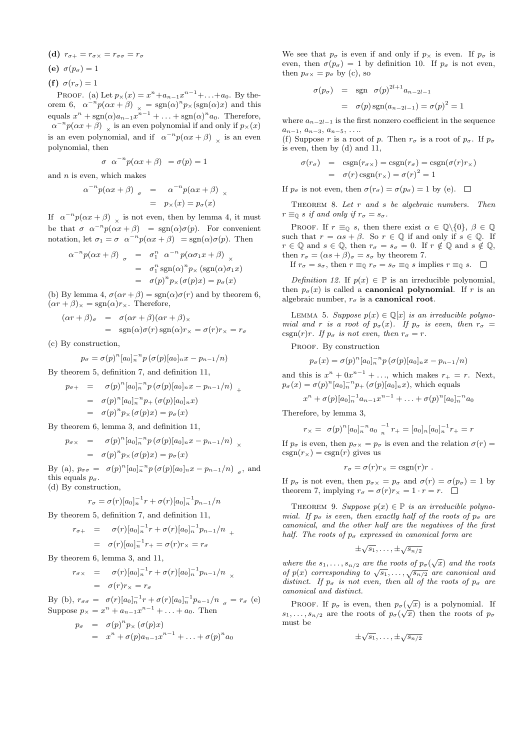- (d)  $r_{\sigma+} = r_{\sigma \times} = r_{\sigma \sigma} = r_{\sigma}$
- (e)  $\sigma(p_{\sigma}) = 1$
- (f)  $\sigma(r_{\sigma}) = 1$

PROOF. (a) Let  $p_{\times}(x) = x^{n} + a_{n-1}x^{n-1} + ... + a_0$ . By theorem 6,  $\alpha^{-n} p(\alpha x + \beta)|_{\chi} = sgn(\alpha)^n p_{\chi}(sgn(\alpha)x)$  and this equals  $x^n + \text{sgn}(\alpha)a_{n-1}x^{n-1} + \ldots + \text{sgn}(\alpha)^n a_0$ . Therefore,  $\alpha^{-n} p(\alpha x + \beta)$  is an even polynomial if and only if  $p_{\times}(x)$ is an even polynomial, and if  $\alpha^{-n} p(\alpha x + \beta)$  is an even polynomial, then

$$
\sigma \ \alpha^{-n} p(\alpha x + \beta) = \sigma(p) = 1
$$

and  $n$  is even, which makes

$$
\alpha^{-n} p(\alpha x + \beta) \quad = \quad \alpha^{-n} p(\alpha x + \beta) \quad = \quad p_{\times}(x) = p_{\sigma}(x)
$$

If  $\alpha^{-n}p(\alpha x + \beta)$  is not even, then by lemma 4, it must be that  $\sigma \alpha^{-n} p(\alpha x + \beta) = \text{sgn}(\alpha) \sigma(p)$ . For convenient notation, let  $\sigma_1 = \sigma \ \alpha^{-n} p(\alpha x + \beta) = \text{sgn}(\alpha) \sigma(p)$ . Then

$$
\alpha^{-n} p(\alpha x + \beta) = \sigma_1^n \alpha^{-n} p(\alpha \sigma_1 x + \beta) \times
$$
  
=  $\sigma_1^n \text{sgn}(\alpha)^n p_{\times} (\text{sgn}(\alpha) \sigma_1 x)$   
=  $\sigma(p)^n p_{\times} (\sigma(p)x) = p_{\sigma}(x)$ 

(b) By lemma 4,  $\sigma(\alpha r + \beta) = \text{sgn}(\alpha)\sigma(r)$  and by theorem 6,  $(\alpha r + \beta)_{\times} = \text{sgn}(\alpha)r_{\times}$ . Therefore,

$$
(\alpha r + \beta)_{\sigma} = \sigma(\alpha r + \beta)(\alpha r + \beta)_{\times}
$$
  
= sgn( $\alpha$ ) $\sigma$ ( $r$ )sgn( $\alpha$ ) $r_{\times} = \sigma$ ( $r$ ) $r_{\times} = r_{\sigma}$ 

(c) By construction,

$$
p_{\sigma} = \sigma(p)^n [a_0]_n^{-n} p(\sigma(p)[a_0]_n x - p_{n-1}/n)
$$

By theorem 5, definition 7, and definition 11,

$$
p_{\sigma+} = \sigma(p)^n [a_0]_n^{-n} p(\sigma(p)[a_0]_n x - p_{n-1}/n) +
$$
  
=  $\sigma(p)^n [a_0]_n^{-n} p_+(\sigma(p)[a_0]_n x)$   
=  $\sigma(p)^n p_\times (\sigma(p)x) = p_\sigma(x)$ 

By theorem 6, lemma 3, and definition 11,

$$
p_{\sigma \times} = \sigma(p)^n [a_0]_n^{-n} p(\sigma(p)[a_0]_n x - p_{n-1}/n) \times
$$
  
=  $\sigma(p)^n p_{\times}(\sigma(p)x) = p_{\sigma}(x)$ 

By (a),  $p_{\sigma\sigma} = \sigma(p)^n [a_0]_n^{-n} p(\sigma(p)[a_0]_n x - p_{n-1}/n)$ , and this equals  $p_{\sigma}$ .

(d) By construction,

$$
r_{\sigma} = \sigma(r)[a_0]_n^{-1}r + \sigma(r)[a_0]_n^{-1}p_{n-1}/n
$$

By theorem 5, definition 7, and definition 11,

$$
r_{\sigma+} = \sigma(r)[a_0]_n^{-1}r + \sigma(r)[a_0]_n^{-1}p_{n-1}/n +
$$
  
=  $\sigma(r)[a_0]_n^{-1}r_+ = \sigma(r)r_\times = r_\sigma$ 

By theorem 6, lemma 3, and 11,

$$
r_{\sigma \times} = \sigma(r)[a_0]_n^{-1}r + \sigma(r)[a_0]_n^{-1}p_{n-1}/n \times
$$
  
=  $\sigma(r)r_{\times} = r_{\sigma}$ 

By (b),  $r_{\sigma\sigma} = \sigma(r)[a_0]_n^{-1}r + \sigma(r)[a_0]_n^{-1}p_{n-1}/n_{\sigma} = r_{\sigma}$  (e) Suppose  $p_{\times} = x^n + a_{n-1}x^{n-1} + ... + a_0$ . Then

$$
p_{\sigma} = \sigma(p)^n p_{\times} (\sigma(p)x)
$$
  
=  $x^n + \sigma(p)a_{n-1}x^{n-1} + \ldots + \sigma(p)^n a_0$ 

We see that  $p_{\sigma}$  is even if and only if  $p_{\times}$  is even. If  $p_{\sigma}$  is even, then  $\sigma(p_{\sigma}) = 1$  by definition 10. If  $p_{\sigma}$  is not even, then  $p_{\sigma \times} = p_{\sigma}$  by (c), so

$$
\sigma(p_{\sigma}) = \text{sgn} \ \sigma(p)^{2l+1} a_{n-2l-1}
$$

$$
= \sigma(p) \text{sgn}(a_{n-2l-1}) = \sigma(p)^2 = 1
$$

where  $a_{n-2l-1}$  is the first nonzero coefficient in the sequence  $a_{n-1}, a_{n-3}, a_{n-5}, \ldots$ 

(f) Suppose r is a root of p. Then  $r_{\sigma}$  is a root of  $p_{\sigma}$ . If  $p_{\sigma}$ is even, then by (d) and 11,

$$
\sigma(r_{\sigma}) = \text{csgn}(r_{\sigma \times}) = \text{csgn}(r_{\sigma}) = \text{csgn}(\sigma(r)r_{\times})
$$

$$
= \sigma(r)\text{csgn}(r_{\times}) = \sigma(r)^{2} = 1
$$

If  $p_{\sigma}$  is not even, then  $\sigma(r_{\sigma}) = \sigma(p_{\sigma}) = 1$  by (e).  $\square$ 

THEOREM 8. Let  $r$  and  $s$  be algebraic numbers. Then  $r \equiv_0 s$  if and only if  $r_\sigma = s_\sigma$ .

PROOF. If  $r \equiv_0 s$ , then there exist  $\alpha \in \mathbb{Q}\backslash\{0\}$ ,  $\beta \in \mathbb{Q}$ such that  $r = \alpha s + \beta$ . So  $r \in \mathbb{Q}$  if and only if  $s \in \mathbb{Q}$ . If  $r \in \mathbb{Q}$  and  $s \in \mathbb{Q}$ , then  $r_{\sigma} = s_{\sigma} = 0$ . If  $r \notin \mathbb{Q}$  and  $s \notin \mathbb{Q}$ , then  $r_{\sigma} = (\alpha s + \beta)_{\sigma} = s_{\sigma}$  by theorem 7.

If  $r_{\sigma} = s_{\sigma}$ , then  $r \equiv_0 r_{\sigma} = s_{\sigma} \equiv_0 s$  implies  $r \equiv_0 s$ .  $\Box$ 

Definition 12. If  $p(x) \in \mathbb{P}$  is an irreducible polynomial, then  $p_{\sigma}(x)$  is called a **canonical polynomial**. If r is an algebraic number,  $r_{\sigma}$  is a **canonical root**.

LEMMA 5. Suppose  $p(x) \in \mathbb{Q}[x]$  is an irreducible polynomial and r is a root of  $p_{\sigma}(x)$ . If  $p_{\sigma}$  is even, then  $r_{\sigma} =$ csgn(r)r. If  $p_{\sigma}$  is not even, then  $r_{\sigma} = r$ .

PROOF. By construction

$$
p_{\sigma}(x) = \sigma(p)^{n} [a_0]_{n}^{-n} p(\sigma(p)[a_0]_{n} x - p_{n-1}/n)
$$

and this is  $x^n + 0x^{n-1} + \ldots$ , which makes  $r_+ = r$ . Next,  $p_{\sigma}(x) = \sigma(p)^n [a_0]_n^{-n} p_+ (\sigma(p)[a_0]_n x)$ , which equals

$$
x^{n} + \sigma(p)[a_{0}]_{n}^{-1}a_{n-1}x^{n-1} + \ldots + \sigma(p)^{n}[a_{0}]_{n}^{-n}a_{0}
$$

Therefore, by lemma 3,

$$
r_{\times} = \sigma(p)^n [a_0]_n^{-n} a_0 \frac{1}{n} r_+ = [a_0]_n [a_0]_n^{-1} r_+ = r
$$

If  $p_{\sigma}$  is even, then  $p_{\sigma \times} = p_{\sigma}$  is even and the relation  $\sigma(r) =$  $csgn(r_{\times}) = csgn(r)$  gives us

$$
r_{\sigma} = \sigma(r)r_{\times} = \text{csgn}(r)r.
$$

If  $p_{\sigma}$  is not even, then  $p_{\sigma \times} = p_{\sigma}$  and  $\sigma(r) = \sigma(p_{\sigma}) = 1$  by theorem 7, implying  $r_{\sigma} = \sigma(r)r_{\times} = 1 \cdot r = r$ .  $\Box$ 

THEOREM 9. Suppose  $p(x) \in \mathbb{P}$  is an irreducible polynomial. If  $p_{\sigma}$  is even, then exactly half of the roots of  $p_{\sigma}$  are canonical, and the other half are the negatives of the first half. The roots of  $p_{\sigma}$  expressed in canonical form are

$$
\pm \sqrt{s_1}, \ldots, \pm \sqrt{s_{n/2}}
$$

where the  $s_1, \ldots, s_{n/2}$  are the roots of  $p_{\sigma}(\sqrt{x})$  and the roots where the  $s_1, \ldots, s_n/2$  are the roots of  $p_{\sigma}(\sqrt{x})$  and the roots<br>of  $p(x)$  corresponding to  $\sqrt{s_1}, \ldots, \sqrt{s_n/2}$  are canonical and distinct. If  $p_{\sigma}$  is not even, then all of the roots of  $p_{\sigma}$  are canonical and distinct.

PROOF. If  $p_{\sigma}$  is even, then  $p_{\sigma}(\sqrt{x})$  is a polynomial. If  $s_1, \ldots, s_{n/2}$  are the roots of  $p_\sigma(\sqrt{x})$  then the roots of  $p_\sigma$ must be

$$
\pm \sqrt{s_1}, \ldots, \pm \sqrt{s_{n/2}}
$$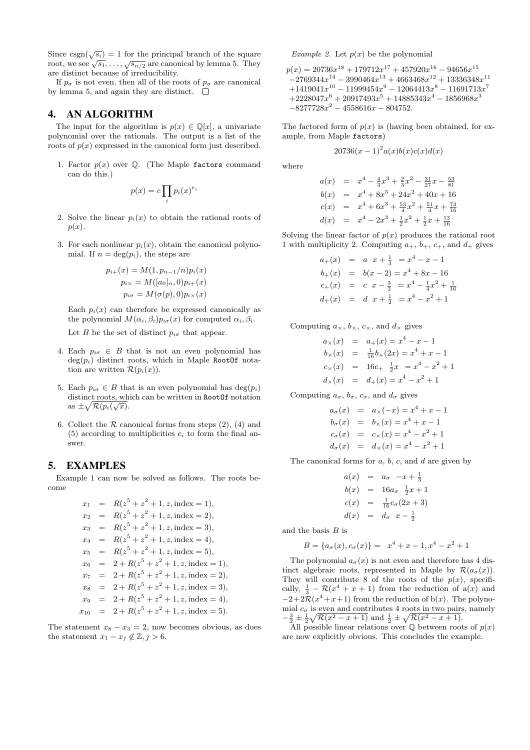Since  $\text{csgn}(\sqrt{s_i}) = 1$  for the principal branch of the square since  $\text{csgn}(\sqrt{s_i}) = 1$  for the principal branch of the square root, we see  $\sqrt{s_1}, \dots, \sqrt{s_{n/2}}$  are canonical by lemma 5. They are distinct because of irreducibility.

If  $p_{\sigma}$  is not even, then all of the roots of  $p_{\sigma}$  are canonical by lemma 5, and again they are distinct.  $\Box$ 

## 4. AN ALGORITHM

The input for the algorithm is  $p(x) \in \mathbb{Q}[x]$ , a univariate polynomial over the rationals. The output is a list of the roots of  $p(x)$  expressed in the canonical form just described.

1. Factor  $p(x)$  over  $\mathbb Q$ . (The Maple factors command can do this.)

$$
p(x) = c \prod_{i} p_i(x)^{e_i}
$$

- 2. Solve the linear  $p_i(x)$  to obtain the rational roots of  $p(x)$ .
- 3. For each nonlinear  $p_i(x)$ , obtain the canonical polynomial. If  $n = \deg(p_i)$ , the steps are

$$
p_{i+}(x) = M(1, p_{n-1}/n)p_i(x)
$$
  
\n
$$
p_{i \times} = M([a_0]_n, 0)p_{i+}(x)
$$
  
\n
$$
p_{i \sigma} = M(\sigma(p), 0)p_{i \times}(x)
$$

Each  $p_i(x)$  can therefore be expressed canonically as the polynomial  $M(\alpha_i, \beta_i)p_{i\sigma}(x)$  for computed  $\alpha_i, \beta_i$ .

Let B be the set of distinct  $p_{i\sigma}$  that appear.

- 4. Each  $p_{i\sigma} \in B$  that is not an even polynomial has  $deg(p_i)$  distinct roots, which in Maple RootOf notation are written  $\mathcal{R}(p_i(x))$ .
- 5. Each  $p_{i\sigma} \in B$  that is an even polynomial has  $\deg(p_i)$ distinct roots, which can be written in RootOf notation as  $\pm \sqrt{\mathcal{R}(p_i(\sqrt{x}))}$ .
- 6. Collect the  $R$  canonical forms from steps  $(2)$ ,  $(4)$  and (5) according to multiplicities  $e_i$  to form the final answer.

## 5. EXAMPLES

Example 1 can now be solved as follows. The roots become

> $x_1 = R(z^5 + z^2 + 1, z, \text{index} = 1),$  $x_2 = R(z^5 + z^2 + 1, z, \text{index} = 2),$  $x_3 = R(z^5 + z^2 + 1, z, \text{index} = 3),$  $x_4 = R(z^5 + z^2 + 1, z, \text{index} = 4),$  $x_5 = R(z^5 + z^2 + 1, z, \text{index} = 5),$  $x_6$  =  $2 + R(z^5 + z^2 + 1, z, \text{index} = 1),$  $x_7 = 2 + R(z^5 + z^2 + 1, z, \text{index} = 2),$  $x_8 = 2 + R(z^5 + z^2 + 1, z, \text{index} = 3),$  $x_9 = 2 + R(z^5 + z^2 + 1, z, \text{index} = 4),$  $x_{10} = 2 + R(z^5 + z^2 + 1, z, \text{index} = 5).$

The statement  $x_8 - x_3 = 2$ , now becomes obvious, as does the statement  $x_1 - x_j \notin \mathbb{Z}, j > 6$ .

Example 2. Let  $p(x)$  be the polynomial

 $p(x) = 20736x^{18} + 179712x^{17} + 457920x^{16} - 94656x^{15}$  $-2769344x^{14} - 3990464x^{13} + 4663468x^{12} + 13336348x^{11}$  $+1419041x^{10} - 11999454x^9 - 12064413x^8 - 11691713x^7$  $+2228047x^{6} + 20917493x^{5} + 14885343x^{4} - 1856968x^{3}$  $-8277728x^2 - 4558616x - 804752.$ 

The factored form of  $p(x)$  is (having been obtained, for example, from Maple factors)

$$
20736(x-1)^{2}a(x)b(x)c(x)d(x)
$$

where

$$
a(x) = x4 - \frac{4}{3}x3 + \frac{2}{3}x2 - \frac{31}{27}x - \frac{53}{81}
$$
  
\n
$$
b(x) = x4 + 8x3 + 24x2 + 40x + 16
$$
  
\n
$$
c(x) = x4 + 6x3 + \frac{53}{4}x2 + \frac{51}{4}x + \frac{73}{16}
$$
  
\n
$$
d(x) = x4 - 2x3 + \frac{1}{2}x2 + \frac{1}{2}x + \frac{13}{16}
$$

Solving the linear factor of  $p(x)$  produces the rational root 1 with multiplicity 2. Computing  $a_+$ ,  $b_+$ ,  $c_+$ , and  $d_+$  gives

> $a_+(x) = a \ \ x + \frac{1}{3} = x^4 - x - 1$  $b_{+}(x) = b(x-2) = x^{4} + 8x - 16$  $c_{+}(x) = c \ x - \frac{3}{2} = x^{4} - \frac{1}{4}x^{2} + \frac{1}{16}$  $d_+(x) = d_1x + \frac{1}{2} = x^4 - x^2 + 1$

Computing  $a_{\times}$ ,  $b_{\times}$ ,  $c_{\times}$ , and  $d_{\times}$  gives

$$
a_{\times}(x) = a_{+}(x) = x^{4} - x - 1
$$
  
\n
$$
b_{\times}(x) = \frac{1}{16}b_{+}(2x) = x^{4} + x - 1
$$
  
\n
$$
c_{\times}(x) = 16c_{+} \frac{1}{2}x = x^{4} - x^{2} + 1
$$
  
\n
$$
d_{\times}(x) = d_{+}(x) = x^{4} - x^{2} + 1
$$

Computing  $a_{\sigma}$ ,  $b_{\sigma}$ ,  $c_{\sigma}$ , and  $d_{\sigma}$  gives

$$
a_{\sigma}(x) = a_{\times}(-x) = x^{4} + x - 1
$$
  
\n
$$
b_{\sigma}(x) = b_{\times}(x) = x^{4} + x - 1
$$
  
\n
$$
c_{\sigma}(x) = c_{\times}(x) = x^{4} - x^{2} + 1
$$
  
\n
$$
d_{\sigma}(x) = d_{\times}(x) = x^{4} - x^{2} + 1
$$

The canonical forms for  $a, b, c$ , and  $d$  are given by

$$
a(x) = a_{\sigma} - x + \frac{1}{3}
$$
  
\n
$$
b(x) = 16a_{\sigma} \frac{1}{2}x + 1
$$
  
\n
$$
c(x) = \frac{1}{16}c_{\sigma}(2x + 3)
$$
  
\n
$$
d(x) = d_{\sigma} x - \frac{1}{2}
$$

and the basis  $B$  is

$$
B = \{a_{\sigma}(x), c_{\sigma}(x)\} = x^4 + x - 1, x^4 - x^2 + 1
$$

The polynomial  $a_{\sigma}(x)$  is not even and therefore has 4 distinct algebraic roots, represented in Maple by  $\mathcal{R}(a_{\sigma}(x))$ . They will contribute 8 of the roots of the  $p(x)$ , specifically,  $\frac{1}{3} - \mathcal{R}(x^4 + x + 1)$  from the reduction of  $a(x)$  and  $-2+2\mathcal{R}(x^4+x+1)$  from the reduction of b(x). The polynomial  $c_{\sigma}$  is even and contributes 4 roots in two pairs, namely  $-\frac{3}{2} \pm \frac{1}{2} \sqrt{\mathcal{R}(x^2 - x + 1)}$  and  $\frac{1}{2} \pm \sqrt{\mathcal{R}(x^2 - x + 1)}$ .

All possible linear relations over  $\mathbb Q$  between roots of  $p(x)$ are now explicitly obvious. This concludes the example.